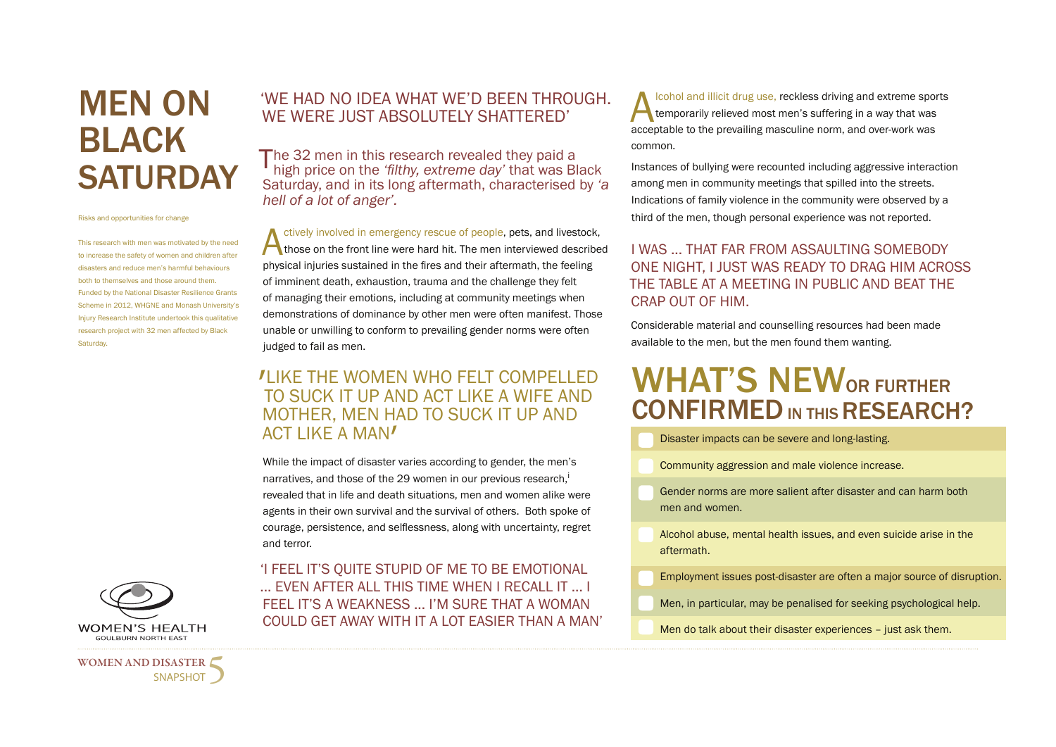# MEN ON BLACK **SATURDAY**

Risks and opportunities for change

This research with men was motivated by the need to increase the safety of women and children after disasters and reduce men's harmful behaviours both to themselves and those around them. Funded by the National Disaster Resilience Grants Scheme in 2012, WHGNE and Monash University's Injury Research Institute undertook this qualitative research project with 32 men affected by Black Saturday.

### 'WE HAD NO IDEA WHAT WE'D BEEN THROUGH. WE WERE JUST ABSOLUTELY SHATTERED'

The 32 men in this research revealed they paid a high price on the *'filthy, extreme day'* that was Black Saturday, and in its long aftermath, characterised by *'a hell of a lot of anger'.* 

Actively involved in emergency rescue of people, pets, and livestock,<br>those on the front line were hard hit. The men interviewed described<br>physical injuries sustained in the free and their aftermath, the feeling physical injuries sustained in the fires and their aftermath, the feeling of imminent death, exhaustion, trauma and the challenge they felt of managing their emotions, including at community meetings when demonstrations of dominance by other men were often manifest. Those unable or unwilling to conform to prevailing gender norms were often judged to fail as men.

## ' LIKE THE WOMEN WHO FELT COMPELLED TO SUCK IT UP AND ACT LIKE A WIFE AND MOTHER, MEN HAD TO SUCK IT UP AND ACT LIKE A MAN'

While the impact of disaster varies according to gender, the men's narratives, and those of the 29 women in our previous research,<sup>i</sup> revealed that in life and death situations, men and women alike were agents in their own survival and the survival of others. Both spoke of courage, persistence, and selflessness, along with uncertainty, regret and terror.

'I FEEL IT'S QUITE STUPID OF ME TO BE EMOTIONAL ... EVEN AFTER ALL THIS TIME WHEN I RECALL IT ... I FEEL IT'S A WEAKNESS ... I'M SURE THAT A WOMAN COULD GET AWAY WITH IT A LOT EASIER THAN A MAN'

cohol and illicit drug use, reckless driving and extreme sports<br>temporarily relieved most men's suffering in a way that was<br>acceptable to the prevailing masculine norm, and over-work was temporarily relieved most men's suffering in a way that was acceptable to the prevailing masculine norm, and over-work was common.

Instances of bullying were recounted including aggressive interaction among men in community meetings that spilled into the streets. Indications of family violence in the community were observed by a third of the men, though personal experience was not reported.

#### I WAS ... THAT FAR FROM ASSAULTING SOMEBODY ONE NIGHT, I JUST WAS READY TO DRAG HIM ACROSS THE TABLE AT A MEETING IN PUBLIC AND BEAT THE CRAP OUT OF HIM.

Considerable material and counselling resources had been made available to the men, but the men found them wanting.

# WHAT'S NEWOR FURTHER CONFIRMED IN THIS RESEARCH?

Disaster impacts can be severe and long-lasting.

Community aggression and male violence increase.

Gender norms are more salient after disaster and can harm both men and women.

Alcohol abuse, mental health issues, and even suicide arise in the aftermath.

Employment issues post-disaster are often a major source of disruption.

Men, in particular, may be penalised for seeking psychological help.

Men do talk about their disaster experiences – just ask them.



WOMEN AND DISASTER